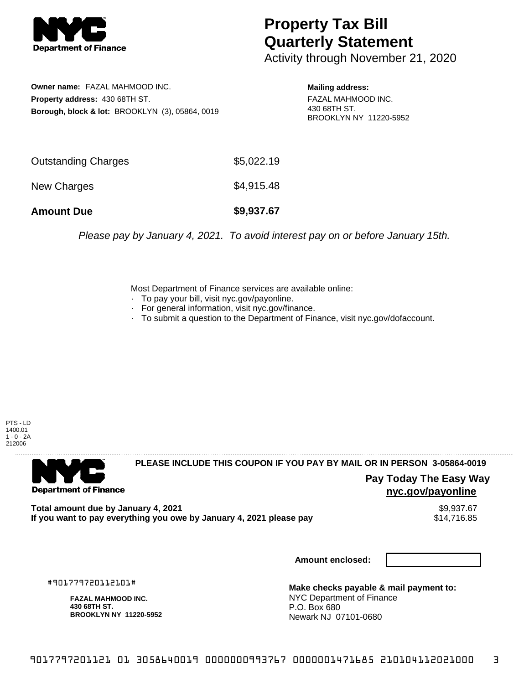

## **Property Tax Bill Quarterly Statement**

Activity through November 21, 2020

**Owner name:** FAZAL MAHMOOD INC. **Property address:** 430 68TH ST. **Borough, block & lot:** BROOKLYN (3), 05864, 0019

**Mailing address:** FAZAL MAHMOOD INC. 430 68TH ST. BROOKLYN NY 11220-5952

| <b>Amount Due</b>   | \$9,937.67 |
|---------------------|------------|
| New Charges         | \$4,915.48 |
| Outstanding Charges | \$5,022.19 |

Please pay by January 4, 2021. To avoid interest pay on or before January 15th.

Most Department of Finance services are available online:

- · To pay your bill, visit nyc.gov/payonline.
- For general information, visit nyc.gov/finance.
- · To submit a question to the Department of Finance, visit nyc.gov/dofaccount.

PTS - LD 1400.01  $1 - 0 - 2A$ 212006



**PLEASE INCLUDE THIS COUPON IF YOU PAY BY MAIL OR IN PERSON 3-05864-0019** 

**Pay Today The Easy Way nyc.gov/payonline**

Total amount due by January 4, 2021<br>If you want to pay everything you owe by January 4, 2021 please pay **structure of the State of the State State** If you want to pay everything you owe by January 4, 2021 please pay

**Amount enclosed:**

#901779720112101#

**FAZAL MAHMOOD INC. 430 68TH ST. BROOKLYN NY 11220-5952**

**Make checks payable & mail payment to:** NYC Department of Finance P.O. Box 680 Newark NJ 07101-0680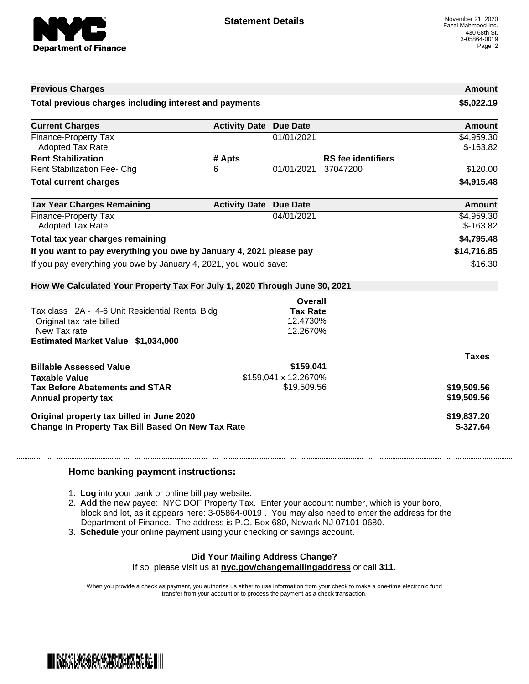

| <b>Previous Charges</b>                                                                                                                                             |                               |                                   |                           | Amount                   |
|---------------------------------------------------------------------------------------------------------------------------------------------------------------------|-------------------------------|-----------------------------------|---------------------------|--------------------------|
| Total previous charges including interest and payments                                                                                                              |                               |                                   | \$5,022.19                |                          |
| <b>Current Charges</b>                                                                                                                                              | <b>Activity Date</b>          | <b>Due Date</b>                   |                           | Amount                   |
| Finance-Property Tax<br><b>Adopted Tax Rate</b>                                                                                                                     |                               | 01/01/2021                        |                           | \$4,959.30<br>$$-163.82$ |
| <b>Rent Stabilization</b>                                                                                                                                           | # Apts                        |                                   | <b>RS</b> fee identifiers |                          |
| <b>Rent Stabilization Fee- Chg</b>                                                                                                                                  | 6                             | 01/01/2021                        | 37047200                  | \$120.00                 |
| <b>Total current charges</b>                                                                                                                                        |                               |                                   |                           | \$4,915.48               |
| <b>Tax Year Charges Remaining</b>                                                                                                                                   | <b>Activity Date Due Date</b> |                                   |                           | Amount                   |
| Finance-Property Tax<br><b>Adopted Tax Rate</b>                                                                                                                     |                               | 04/01/2021                        |                           | \$4,959.30<br>$$-163.82$ |
| Total tax year charges remaining                                                                                                                                    |                               |                                   |                           | \$4,795.48               |
| If you want to pay everything you owe by January 4, 2021 please pay                                                                                                 |                               |                                   |                           | \$14,716.85              |
| If you pay everything you owe by January 4, 2021, you would save:                                                                                                   |                               |                                   |                           | \$16.30                  |
| How We Calculated Your Property Tax For July 1, 2020 Through June 30, 2021                                                                                          |                               |                                   |                           |                          |
|                                                                                                                                                                     |                               | Overall                           |                           |                          |
| Tax class 2A - 4-6 Unit Residential Rental Bldg                                                                                                                     |                               | <b>Tax Rate</b>                   |                           |                          |
| Original tax rate billed                                                                                                                                            |                               | 12.4730%                          |                           |                          |
|                                                                                                                                                                     |                               |                                   |                           |                          |
| New Tax rate<br>Estimated Market Value \$1,034,000                                                                                                                  |                               | 12.2670%                          |                           |                          |
|                                                                                                                                                                     |                               |                                   |                           |                          |
|                                                                                                                                                                     |                               |                                   |                           | <b>Taxes</b>             |
|                                                                                                                                                                     |                               | \$159,041<br>\$159,041 x 12.2670% |                           |                          |
|                                                                                                                                                                     |                               | \$19,509.56                       |                           | \$19,509.56              |
|                                                                                                                                                                     |                               |                                   |                           | \$19,509.56              |
| <b>Billable Assessed Value</b><br><b>Taxable Value</b><br><b>Tax Before Abatements and STAR</b><br>Annual property tax<br>Original property tax billed in June 2020 |                               |                                   |                           | \$19,837.20              |

## **Home banking payment instructions:**

- 1. **Log** into your bank or online bill pay website.
- 2. **Add** the new payee: NYC DOF Property Tax. Enter your account number, which is your boro, block and lot, as it appears here: 3-05864-0019 . You may also need to enter the address for the Department of Finance. The address is P.O. Box 680, Newark NJ 07101-0680.
- 3. **Schedule** your online payment using your checking or savings account.

## **Did Your Mailing Address Change?**

If so, please visit us at **nyc.gov/changemailingaddress** or call **311.**

When you provide a check as payment, you authorize us either to use information from your check to make a one-time electronic fund transfer from your account or to process the payment as a check transaction.